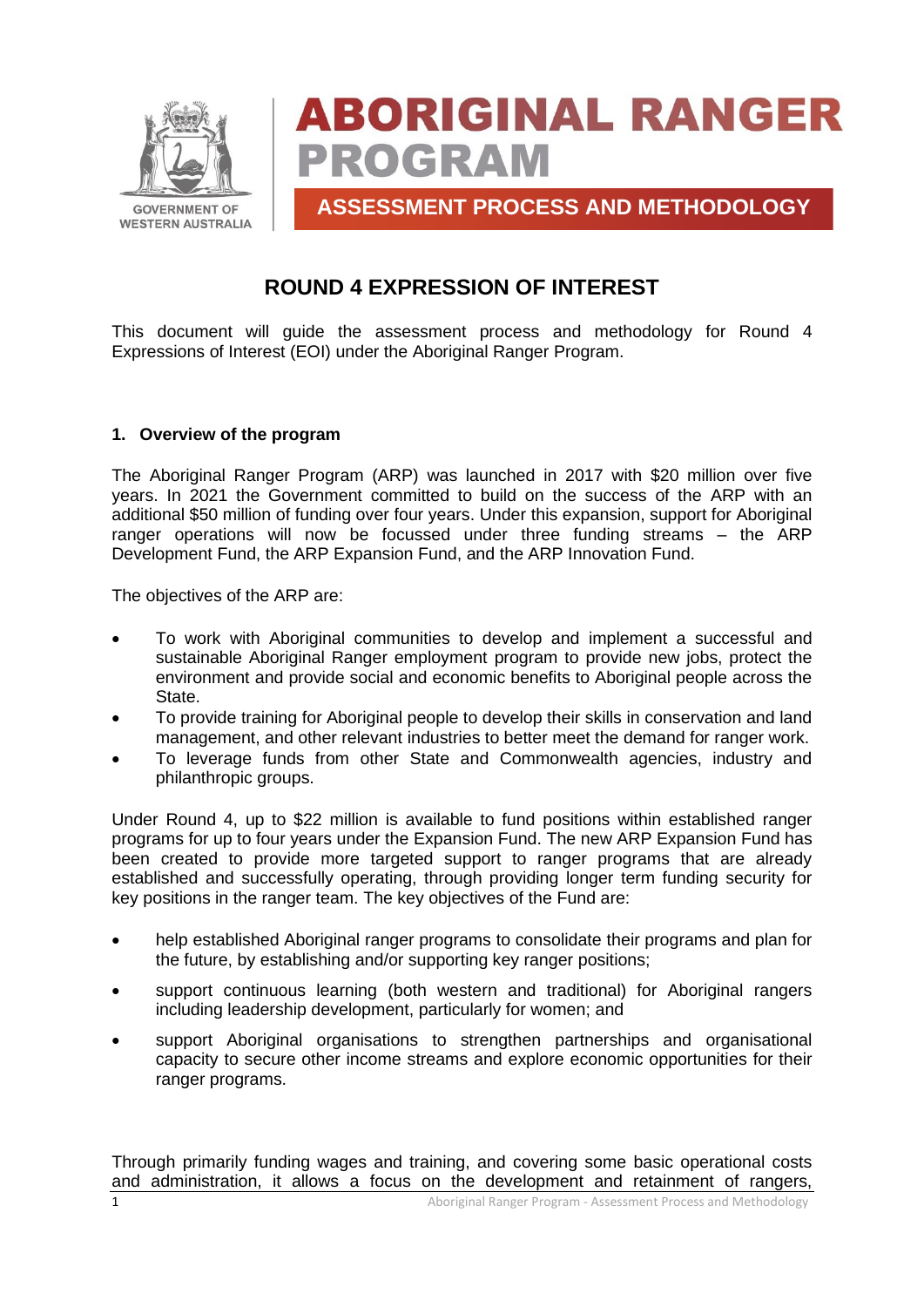

# **ABORIGINAL RANGER PROGRAM**

**ASSESSMENT PROCESS AND METHODOLOGY**

# **ROUND 4 EXPRESSION OF INTEREST**

This document will guide the assessment process and methodology for Round 4 Expressions of Interest (EOI) under the Aboriginal Ranger Program.

#### **1. Overview of the program**

The Aboriginal Ranger Program (ARP) was launched in 2017 with \$20 million over five years. In 2021 the Government committed to build on the success of the ARP with an additional \$50 million of funding over four years. Under this expansion, support for Aboriginal ranger operations will now be focussed under three funding streams – the ARP Development Fund, the ARP Expansion Fund, and the ARP Innovation Fund.

The objectives of the ARP are:

- To work with Aboriginal communities to develop and implement a successful and sustainable Aboriginal Ranger employment program to provide new jobs, protect the environment and provide social and economic benefits to Aboriginal people across the State.
- To provide training for Aboriginal people to develop their skills in conservation and land management, and other relevant industries to better meet the demand for ranger work.
- To leverage funds from other State and Commonwealth agencies, industry and philanthropic groups.

Under Round 4, up to \$22 million is available to fund positions within established ranger programs for up to four years under the Expansion Fund. The new ARP Expansion Fund has been created to provide more targeted support to ranger programs that are already established and successfully operating, through providing longer term funding security for key positions in the ranger team. The key objectives of the Fund are:

- help established Aboriginal ranger programs to consolidate their programs and plan for the future, by establishing and/or supporting key ranger positions;
- support continuous learning (both western and traditional) for Aboriginal rangers including leadership development, particularly for women; and
- support Aboriginal organisations to strengthen partnerships and organisational capacity to secure other income streams and explore economic opportunities for their ranger programs.

Through primarily funding wages and training, and covering some basic operational costs and administration, it allows a focus on the development and retainment of rangers,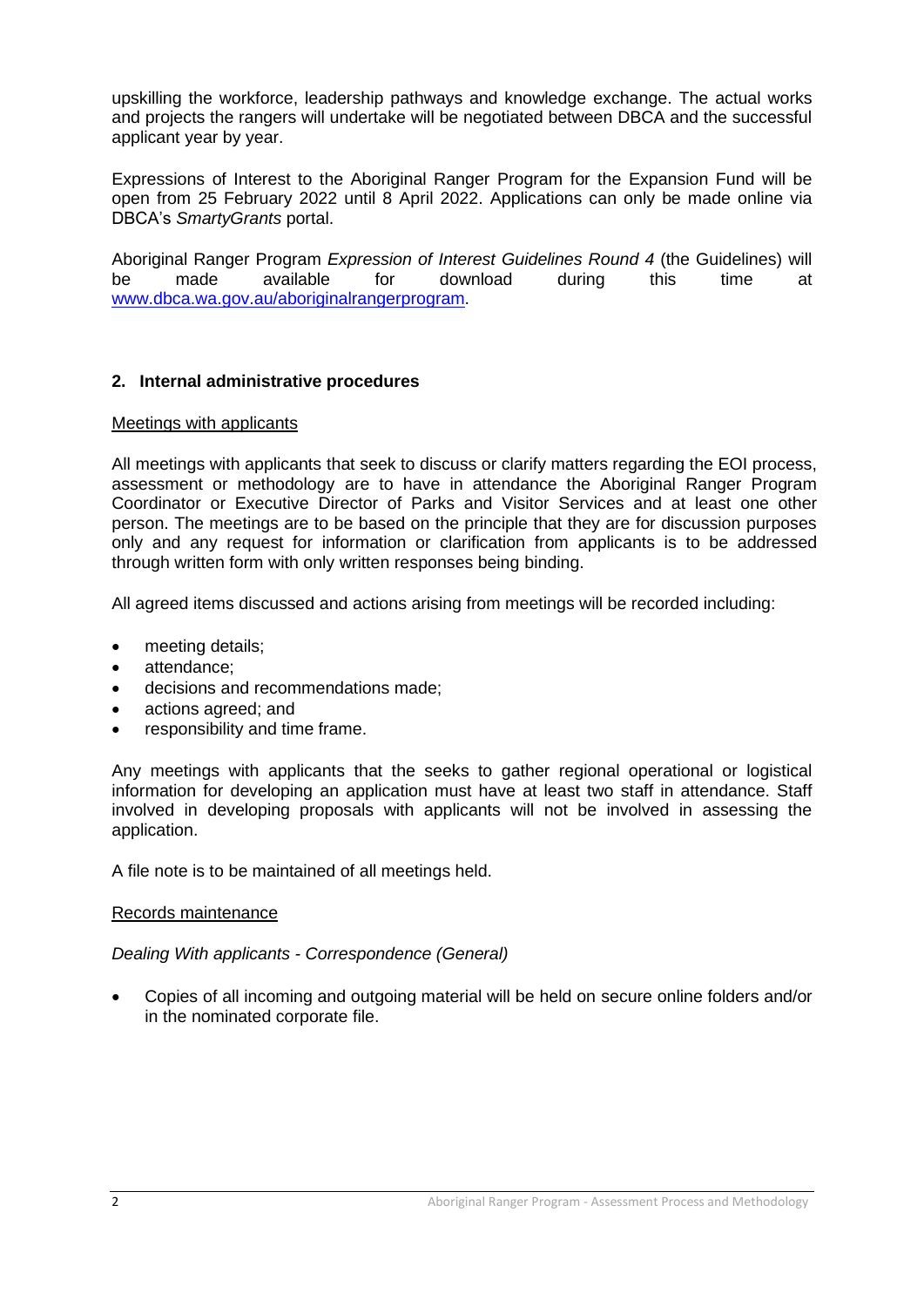upskilling the workforce, leadership pathways and knowledge exchange. The actual works and projects the rangers will undertake will be negotiated between DBCA and the successful applicant year by year.

Expressions of Interest to the Aboriginal Ranger Program for the Expansion Fund will be open from 25 February 2022 until 8 April 2022. Applications can only be made online via DBCA's *SmartyGrants* portal.

Aboriginal Ranger Program *Expression of Interest Guidelines Round 4* (the Guidelines) will be made available for download during this time at [www.dbca.wa.gov.au/aboriginalrangerprogram.](http://www.dbca.wa.gov.au/aboriginalrangerprogram)

#### **2. Internal administrative procedures**

#### Meetings with applicants

All meetings with applicants that seek to discuss or clarify matters regarding the EOI process, assessment or methodology are to have in attendance the Aboriginal Ranger Program Coordinator or Executive Director of Parks and Visitor Services and at least one other person. The meetings are to be based on the principle that they are for discussion purposes only and any request for information or clarification from applicants is to be addressed through written form with only written responses being binding.

All agreed items discussed and actions arising from meetings will be recorded including:

- meeting details;
- attendance:
- decisions and recommendations made;
- actions agreed; and
- responsibility and time frame.

Any meetings with applicants that the seeks to gather regional operational or logistical information for developing an application must have at least two staff in attendance. Staff involved in developing proposals with applicants will not be involved in assessing the application.

A file note is to be maintained of all meetings held.

#### Records maintenance

#### *Dealing With applicants - Correspondence (General)*

• Copies of all incoming and outgoing material will be held on secure online folders and/or in the nominated corporate file.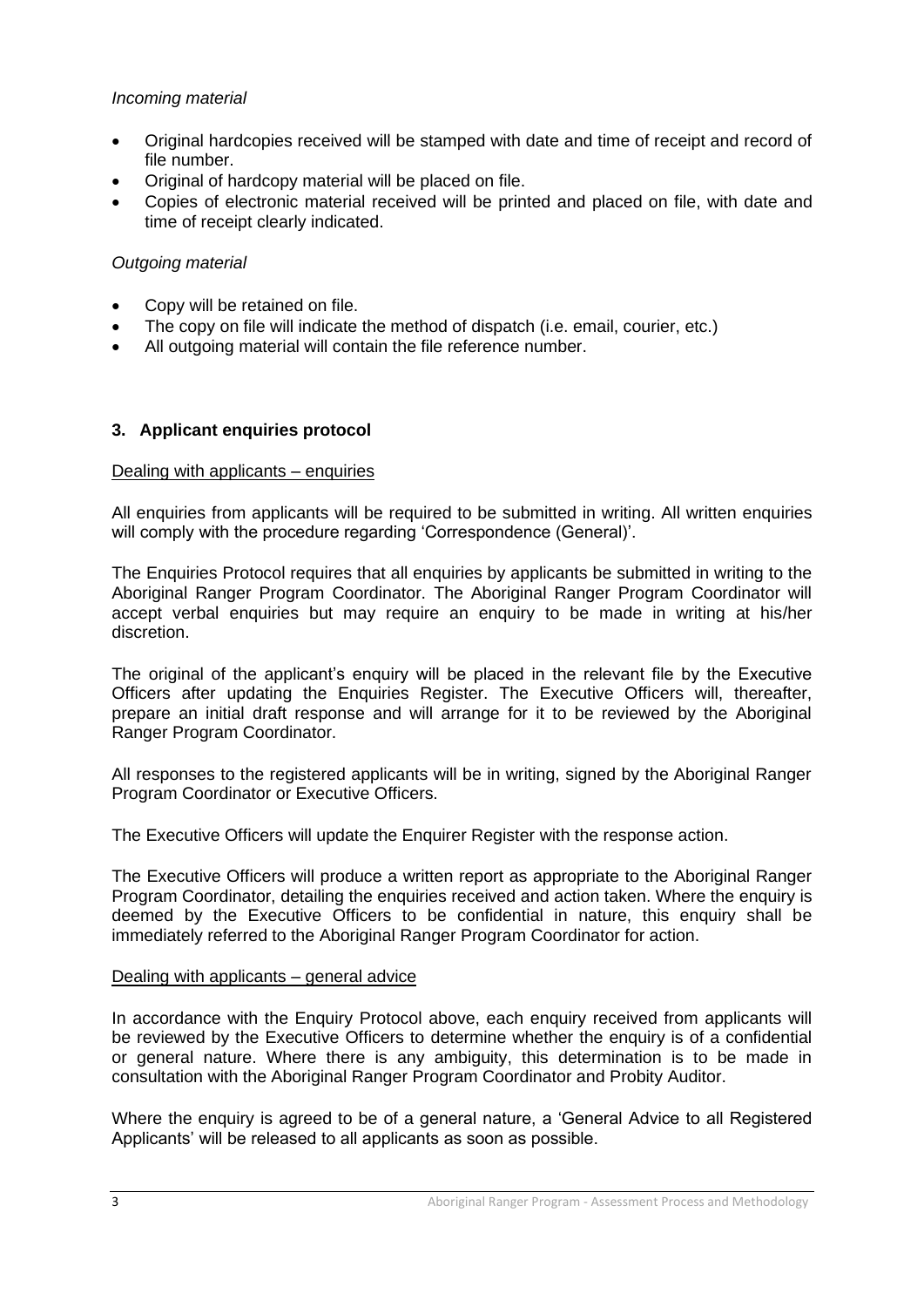### *Incoming material*

- Original hardcopies received will be stamped with date and time of receipt and record of file number.
- Original of hardcopy material will be placed on file.
- Copies of electronic material received will be printed and placed on file, with date and time of receipt clearly indicated.

#### *Outgoing material*

- Copy will be retained on file.
- The copy on file will indicate the method of dispatch (i.e. email, courier, etc.)
- All outgoing material will contain the file reference number.

#### **3. Applicant enquiries protocol**

#### Dealing with applicants – enquiries

All enquiries from applicants will be required to be submitted in writing. All written enquiries will comply with the procedure regarding 'Correspondence (General)'.

The Enquiries Protocol requires that all enquiries by applicants be submitted in writing to the Aboriginal Ranger Program Coordinator. The Aboriginal Ranger Program Coordinator will accept verbal enquiries but may require an enquiry to be made in writing at his/her discretion.

The original of the applicant's enquiry will be placed in the relevant file by the Executive Officers after updating the Enquiries Register. The Executive Officers will, thereafter, prepare an initial draft response and will arrange for it to be reviewed by the Aboriginal Ranger Program Coordinator.

All responses to the registered applicants will be in writing, signed by the Aboriginal Ranger Program Coordinator or Executive Officers.

The Executive Officers will update the Enquirer Register with the response action.

The Executive Officers will produce a written report as appropriate to the Aboriginal Ranger Program Coordinator, detailing the enquiries received and action taken. Where the enquiry is deemed by the Executive Officers to be confidential in nature, this enquiry shall be immediately referred to the Aboriginal Ranger Program Coordinator for action.

#### Dealing with applicants – general advice

In accordance with the Enquiry Protocol above, each enquiry received from applicants will be reviewed by the Executive Officers to determine whether the enquiry is of a confidential or general nature. Where there is any ambiguity, this determination is to be made in consultation with the Aboriginal Ranger Program Coordinator and Probity Auditor.

Where the enquiry is agreed to be of a general nature, a 'General Advice to all Registered Applicants' will be released to all applicants as soon as possible.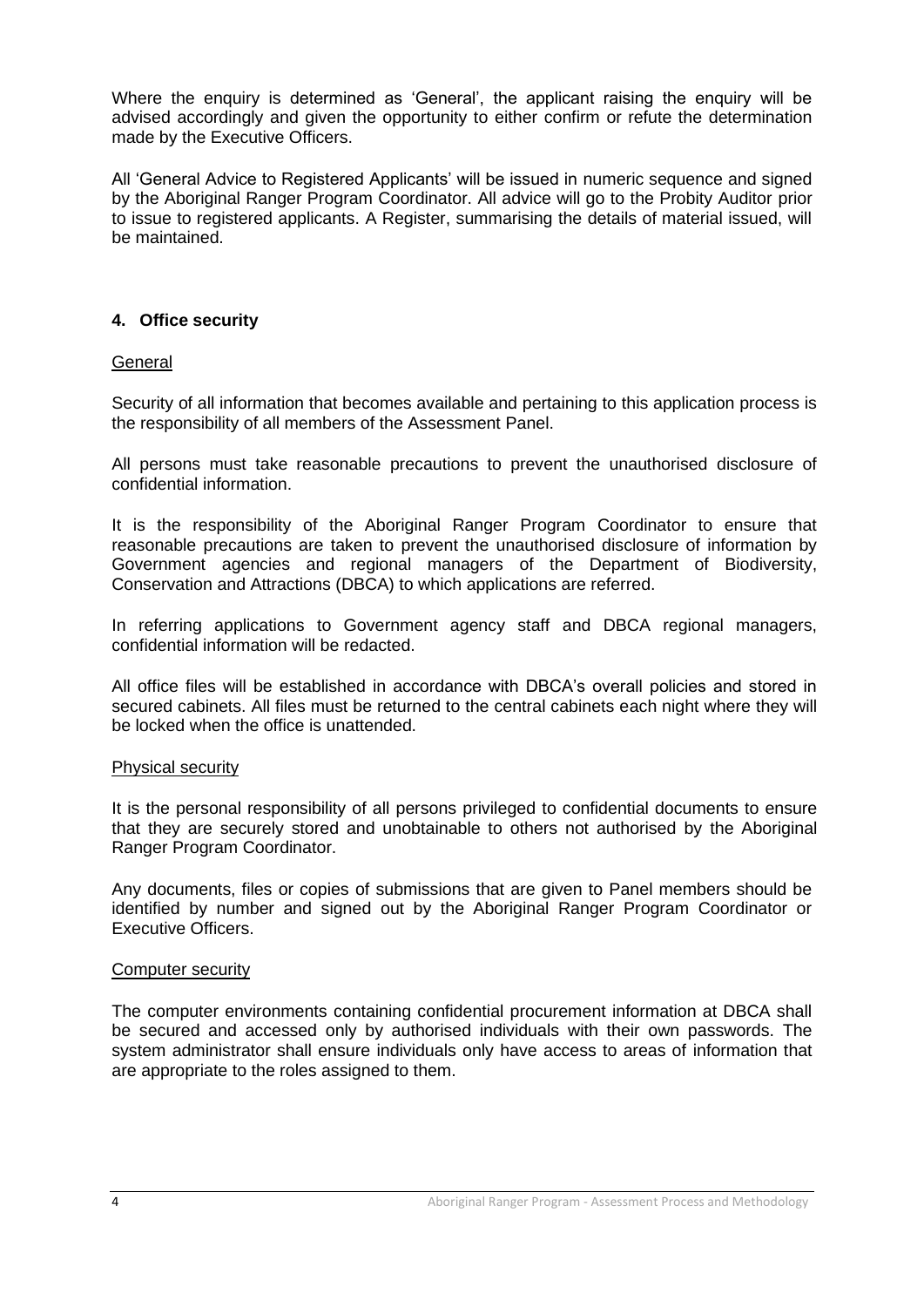Where the enquiry is determined as 'General', the applicant raising the enquiry will be advised accordingly and given the opportunity to either confirm or refute the determination made by the Executive Officers.

All 'General Advice to Registered Applicants' will be issued in numeric sequence and signed by the Aboriginal Ranger Program Coordinator. All advice will go to the Probity Auditor prior to issue to registered applicants. A Register, summarising the details of material issued, will be maintained.

### **4. Office security**

#### **General**

Security of all information that becomes available and pertaining to this application process is the responsibility of all members of the Assessment Panel.

All persons must take reasonable precautions to prevent the unauthorised disclosure of confidential information.

It is the responsibility of the Aboriginal Ranger Program Coordinator to ensure that reasonable precautions are taken to prevent the unauthorised disclosure of information by Government agencies and regional managers of the Department of Biodiversity, Conservation and Attractions (DBCA) to which applications are referred.

In referring applications to Government agency staff and DBCA regional managers, confidential information will be redacted.

All office files will be established in accordance with DBCA's overall policies and stored in secured cabinets. All files must be returned to the central cabinets each night where they will be locked when the office is unattended.

#### Physical security

It is the personal responsibility of all persons privileged to confidential documents to ensure that they are securely stored and unobtainable to others not authorised by the Aboriginal Ranger Program Coordinator.

Any documents, files or copies of submissions that are given to Panel members should be identified by number and signed out by the Aboriginal Ranger Program Coordinator or Executive Officers.

#### Computer security

The computer environments containing confidential procurement information at DBCA shall be secured and accessed only by authorised individuals with their own passwords. The system administrator shall ensure individuals only have access to areas of information that are appropriate to the roles assigned to them.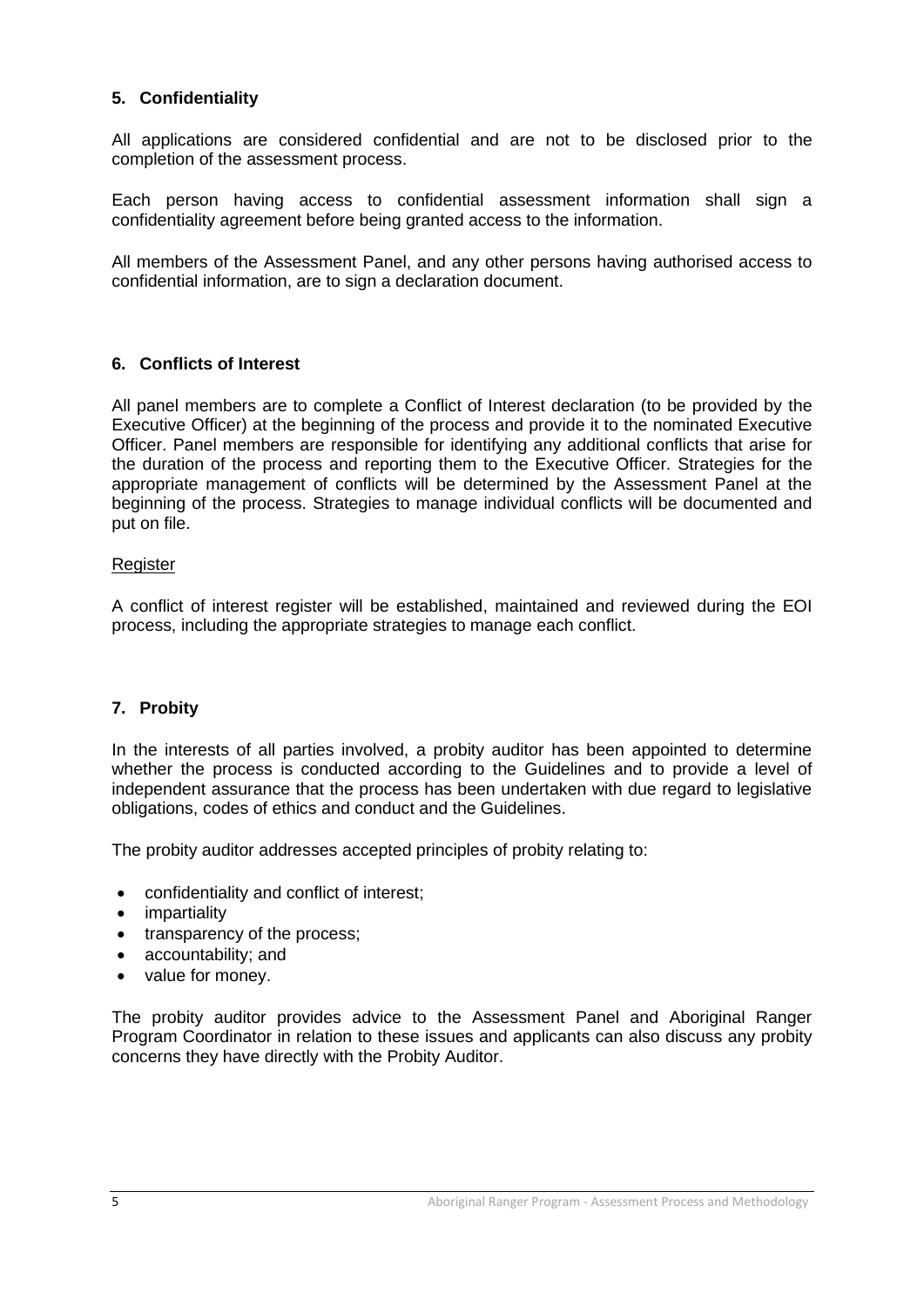# **5. Confidentiality**

All applications are considered confidential and are not to be disclosed prior to the completion of the assessment process.

Each person having access to confidential assessment information shall sign a confidentiality agreement before being granted access to the information.

All members of the Assessment Panel, and any other persons having authorised access to confidential information, are to sign a declaration document.

#### **6. Conflicts of Interest**

All panel members are to complete a Conflict of Interest declaration (to be provided by the Executive Officer) at the beginning of the process and provide it to the nominated Executive Officer. Panel members are responsible for identifying any additional conflicts that arise for the duration of the process and reporting them to the Executive Officer. Strategies for the appropriate management of conflicts will be determined by the Assessment Panel at the beginning of the process. Strategies to manage individual conflicts will be documented and put on file.

#### **Register**

A conflict of interest register will be established, maintained and reviewed during the EOI process, including the appropriate strategies to manage each conflict.

#### **7. Probity**

In the interests of all parties involved, a probity auditor has been appointed to determine whether the process is conducted according to the Guidelines and to provide a level of independent assurance that the process has been undertaken with due regard to legislative obligations, codes of ethics and conduct and the Guidelines.

The probity auditor addresses accepted principles of probity relating to:

- confidentiality and conflict of interest;
- impartiality
- transparency of the process;
- accountability; and
- value for money.

The probity auditor provides advice to the Assessment Panel and Aboriginal Ranger Program Coordinator in relation to these issues and applicants can also discuss any probity concerns they have directly with the Probity Auditor.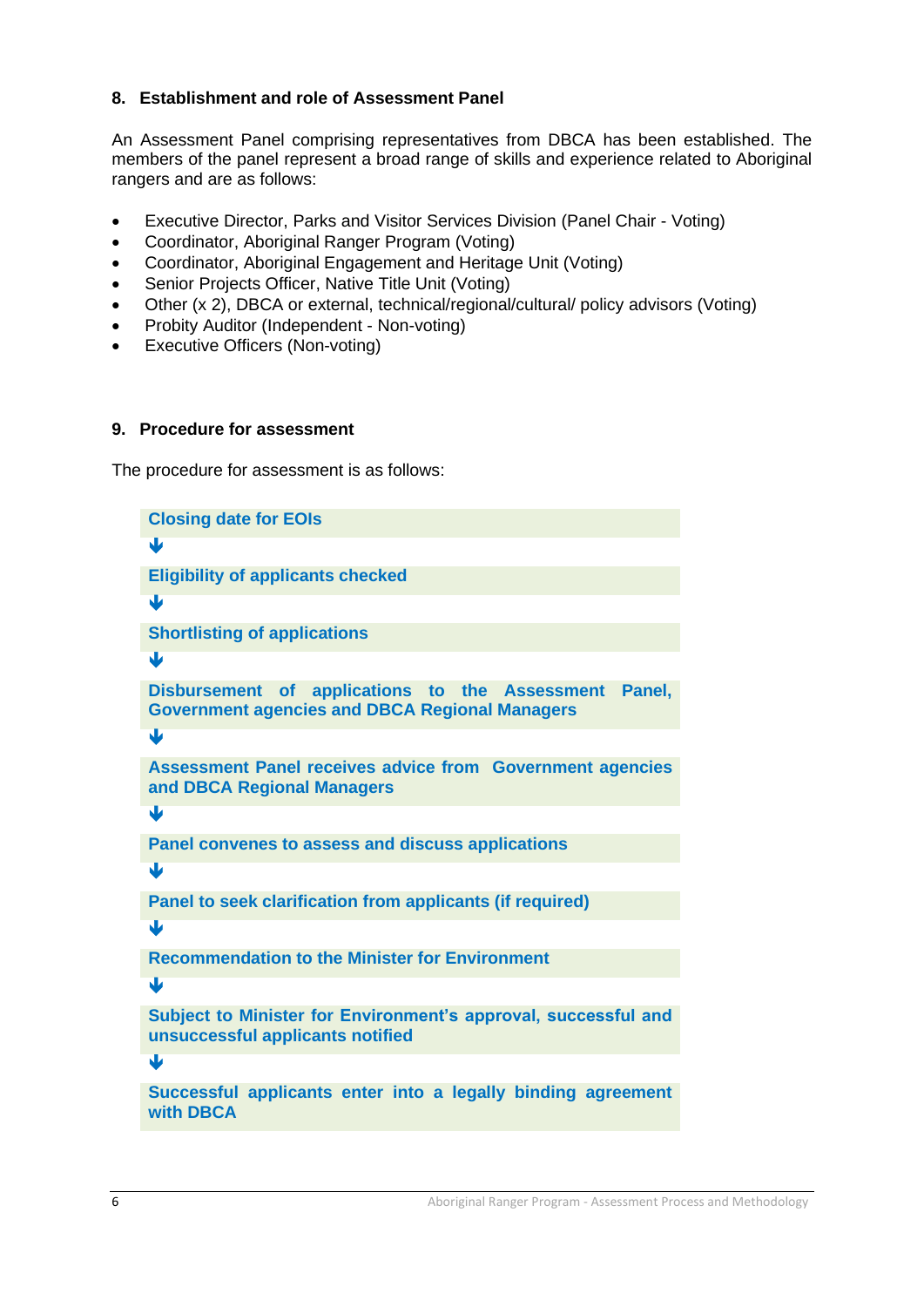### **8. Establishment and role of Assessment Panel**

An Assessment Panel comprising representatives from DBCA has been established. The members of the panel represent a broad range of skills and experience related to Aboriginal rangers and are as follows:

- Executive Director, Parks and Visitor Services Division (Panel Chair Voting)
- Coordinator, Aboriginal Ranger Program (Voting)
- Coordinator, Aboriginal Engagement and Heritage Unit (Voting)
- Senior Projects Officer, Native Title Unit (Voting)
- Other (x 2), DBCA or external, technical/regional/cultural/ policy advisors (Voting)
- Probity Auditor (Independent Non-voting)
- Executive Officers (Non-voting)

#### **9. Procedure for assessment**

The procedure for assessment is as follows:

**Closing date for EOIs** J **Eligibility of applicants checked**  $\overline{\textbf{u}}$ **Shortlisting of applications**  $\mathbf{U}$ **Disbursement of applications to the Assessment Panel, Government agencies and DBCA Regional Managers** J **Assessment Panel receives advice from Government agencies and DBCA Regional Managers**  $\overline{\mathbf{u}}$ **Panel convenes to assess and discuss applications**  $\overline{\mathbf{u}}$ **Panel to seek clarification from applicants (if required)**  $\mathbf{U}$ **Recommendation to the Minister for Environment** ī. **Subject to Minister for Environment's approval, successful and unsuccessful applicants notified**  $\overline{\mathbf{U}}$ **Successful applicants enter into a legally binding agreement with DBCA**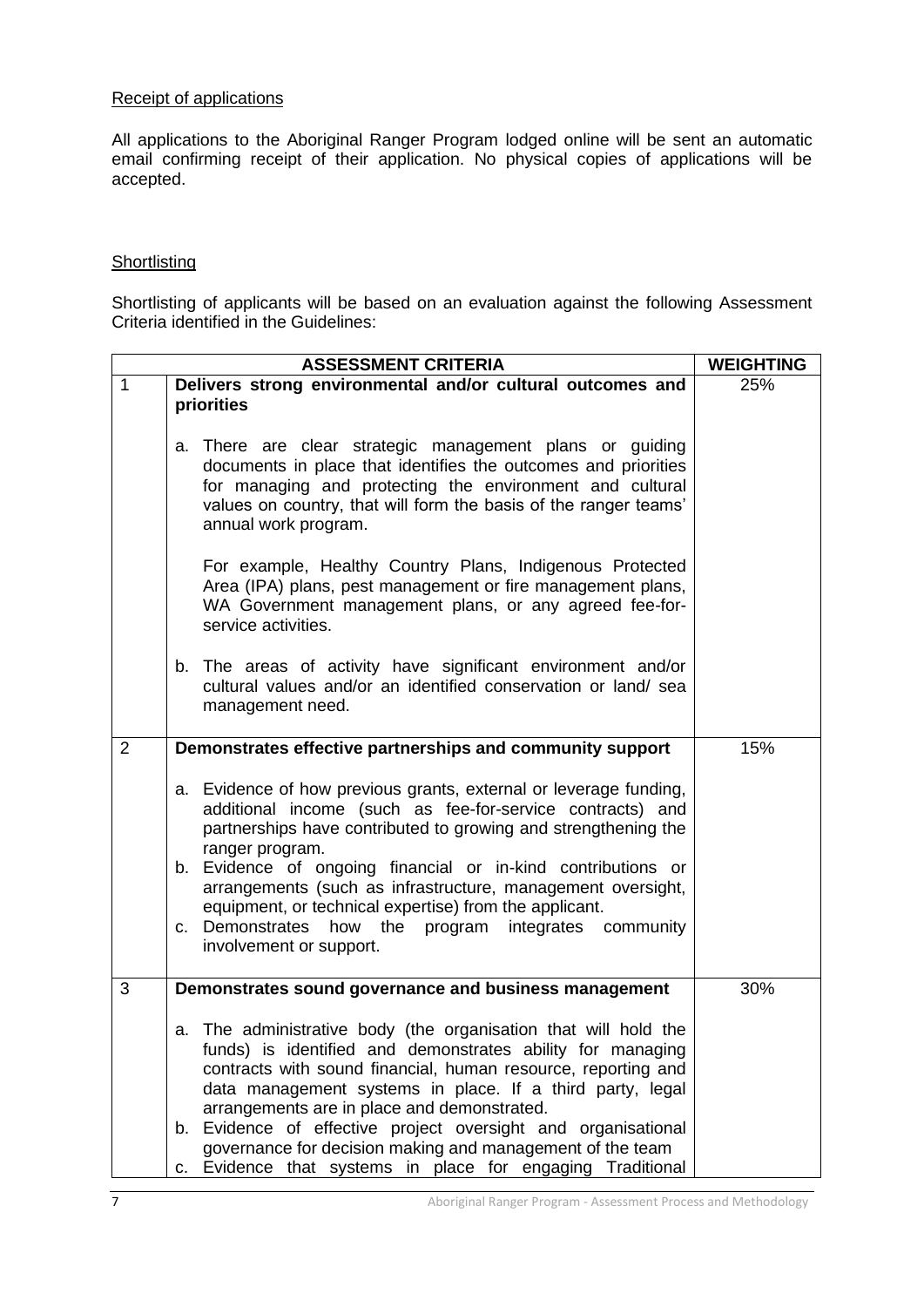#### Receipt of applications

All applications to the Aboriginal Ranger Program lodged online will be sent an automatic email confirming receipt of their application. No physical copies of applications will be accepted.

#### **Shortlisting**

Shortlisting of applicants will be based on an evaluation against the following Assessment Criteria identified in the Guidelines:

|                | <b>ASSESSMENT CRITERIA</b>                                                                                                                                                                                                                                                                                                                                                                                                                                                                             | <b>WEIGHTING</b> |
|----------------|--------------------------------------------------------------------------------------------------------------------------------------------------------------------------------------------------------------------------------------------------------------------------------------------------------------------------------------------------------------------------------------------------------------------------------------------------------------------------------------------------------|------------------|
| $\mathbf{1}$   | Delivers strong environmental and/or cultural outcomes and                                                                                                                                                                                                                                                                                                                                                                                                                                             | 25%              |
|                | priorities                                                                                                                                                                                                                                                                                                                                                                                                                                                                                             |                  |
|                | a. There are clear strategic management plans or guiding<br>documents in place that identifies the outcomes and priorities<br>for managing and protecting the environment and cultural<br>values on country, that will form the basis of the ranger teams'<br>annual work program.                                                                                                                                                                                                                     |                  |
|                | For example, Healthy Country Plans, Indigenous Protected<br>Area (IPA) plans, pest management or fire management plans,<br>WA Government management plans, or any agreed fee-for-<br>service activities.                                                                                                                                                                                                                                                                                               |                  |
|                | b. The areas of activity have significant environment and/or<br>cultural values and/or an identified conservation or land/ sea<br>management need.                                                                                                                                                                                                                                                                                                                                                     |                  |
| $\overline{2}$ | Demonstrates effective partnerships and community support                                                                                                                                                                                                                                                                                                                                                                                                                                              | 15%              |
|                | a. Evidence of how previous grants, external or leverage funding,<br>additional income (such as fee-for-service contracts) and<br>partnerships have contributed to growing and strengthening the<br>ranger program.<br>b. Evidence of ongoing financial or in-kind contributions or<br>arrangements (such as infrastructure, management oversight,<br>equipment, or technical expertise) from the applicant.<br>c. Demonstrates<br>how the program integrates community<br>involvement or support.     |                  |
| 3              | Demonstrates sound governance and business management                                                                                                                                                                                                                                                                                                                                                                                                                                                  | 30%              |
|                | a. The administrative body (the organisation that will hold the<br>funds) is identified and demonstrates ability for managing<br>contracts with sound financial, human resource, reporting and<br>data management systems in place. If a third party, legal<br>arrangements are in place and demonstrated.<br>b. Evidence of effective project oversight and organisational<br>governance for decision making and management of the team<br>c. Evidence that systems in place for engaging Traditional |                  |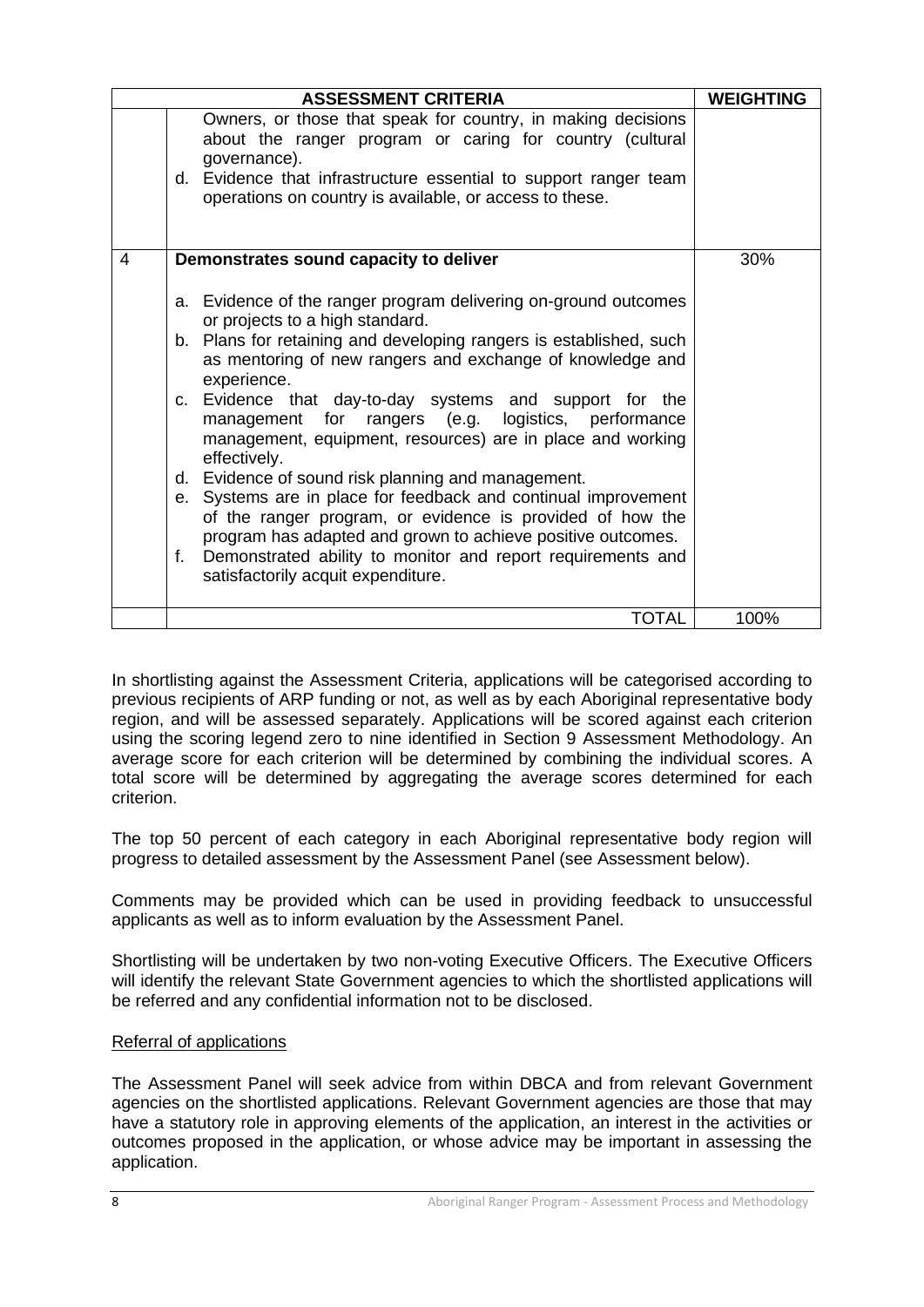|   | <b>ASSESSMENT CRITERIA</b>                                                                                                                                                                                                                                                                                                                                                                                                                                                                                                                                                                                                                                                                                                                                                                                             | <b>WEIGHTING</b> |
|---|------------------------------------------------------------------------------------------------------------------------------------------------------------------------------------------------------------------------------------------------------------------------------------------------------------------------------------------------------------------------------------------------------------------------------------------------------------------------------------------------------------------------------------------------------------------------------------------------------------------------------------------------------------------------------------------------------------------------------------------------------------------------------------------------------------------------|------------------|
|   | Owners, or those that speak for country, in making decisions<br>about the ranger program or caring for country (cultural<br>governance).<br>d. Evidence that infrastructure essential to support ranger team<br>operations on country is available, or access to these.                                                                                                                                                                                                                                                                                                                                                                                                                                                                                                                                                |                  |
| 4 | Demonstrates sound capacity to deliver                                                                                                                                                                                                                                                                                                                                                                                                                                                                                                                                                                                                                                                                                                                                                                                 | 30%              |
|   | a. Evidence of the ranger program delivering on-ground outcomes<br>or projects to a high standard.<br>b. Plans for retaining and developing rangers is established, such<br>as mentoring of new rangers and exchange of knowledge and<br>experience.<br>c. Evidence that day-to-day systems and support for the<br>rangers (e.g. logistics, performance<br>management for<br>management, equipment, resources) are in place and working<br>effectively.<br>d. Evidence of sound risk planning and management.<br>e. Systems are in place for feedback and continual improvement<br>of the ranger program, or evidence is provided of how the<br>program has adapted and grown to achieve positive outcomes.<br>Demonstrated ability to monitor and report requirements and<br>f.<br>satisfactorily acquit expenditure. |                  |
|   | <b>TOTAL</b>                                                                                                                                                                                                                                                                                                                                                                                                                                                                                                                                                                                                                                                                                                                                                                                                           | 100%             |

In shortlisting against the Assessment Criteria, applications will be categorised according to previous recipients of ARP funding or not, as well as by each Aboriginal representative body region, and will be assessed separately. Applications will be scored against each criterion using the scoring legend zero to nine identified in Section 9 Assessment Methodology. An average score for each criterion will be determined by combining the individual scores. A total score will be determined by aggregating the average scores determined for each criterion.

The top 50 percent of each category in each Aboriginal representative body region will progress to detailed assessment by the Assessment Panel (see Assessment below).

Comments may be provided which can be used in providing feedback to unsuccessful applicants as well as to inform evaluation by the Assessment Panel.

Shortlisting will be undertaken by two non-voting Executive Officers. The Executive Officers will identify the relevant State Government agencies to which the shortlisted applications will be referred and any confidential information not to be disclosed.

#### Referral of applications

The Assessment Panel will seek advice from within DBCA and from relevant Government agencies on the shortlisted applications. Relevant Government agencies are those that may have a statutory role in approving elements of the application, an interest in the activities or outcomes proposed in the application, or whose advice may be important in assessing the application.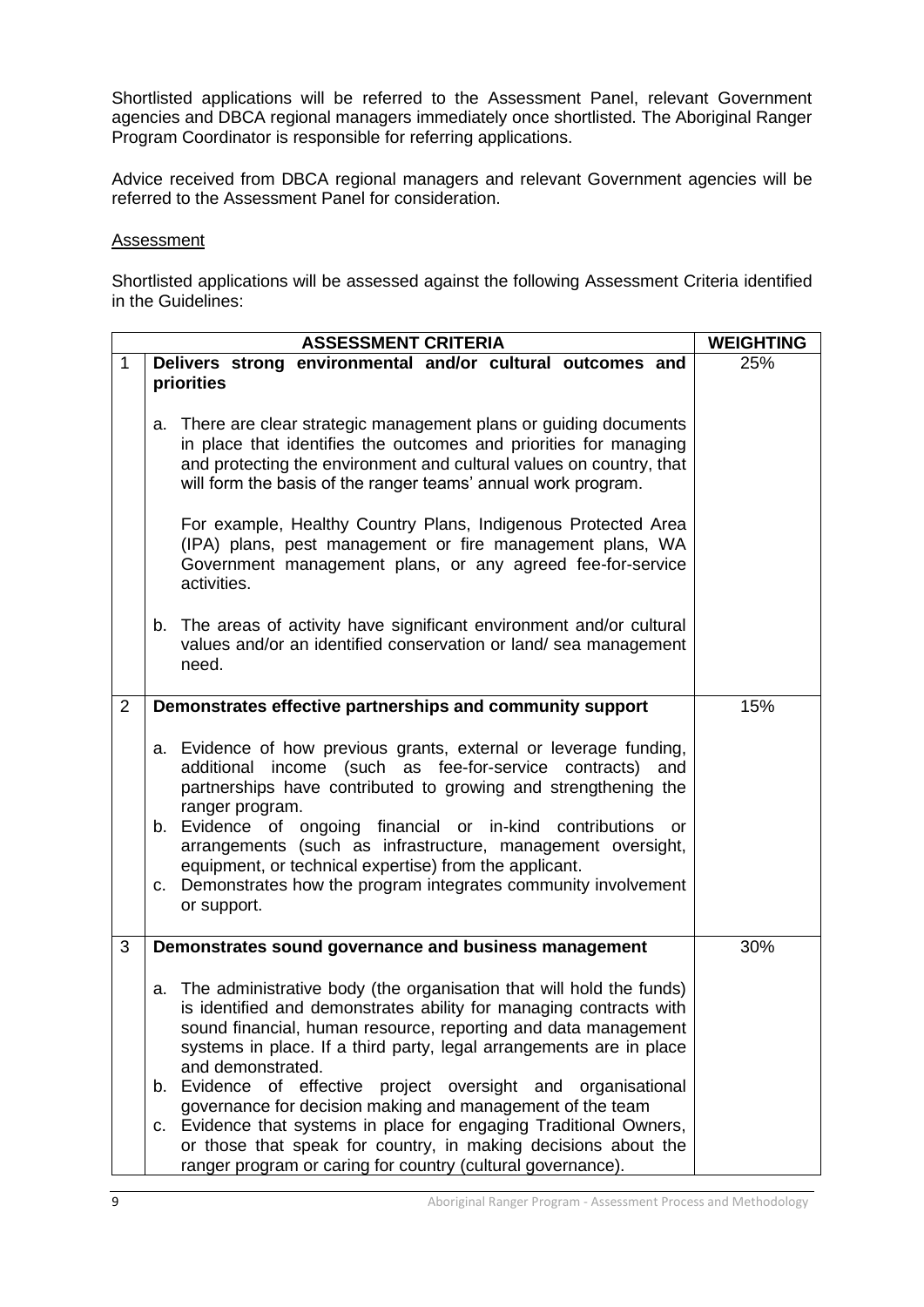Shortlisted applications will be referred to the Assessment Panel, relevant Government agencies and DBCA regional managers immediately once shortlisted. The Aboriginal Ranger Program Coordinator is responsible for referring applications.

Advice received from DBCA regional managers and relevant Government agencies will be referred to the Assessment Panel for consideration.

#### Assessment

Shortlisted applications will be assessed against the following Assessment Criteria identified in the Guidelines:

| Delivers strong environmental and/or cultural outcomes and<br>priorities<br>There are clear strategic management plans or guiding documents<br>а.<br>in place that identifies the outcomes and priorities for managing<br>and protecting the environment and cultural values on country, that<br>will form the basis of the ranger teams' annual work program.<br>For example, Healthy Country Plans, Indigenous Protected Area<br>(IPA) plans, pest management or fire management plans, WA<br>Government management plans, or any agreed fee-for-service<br>activities.<br>b. The areas of activity have significant environment and/or cultural<br>values and/or an identified conservation or land/ sea management<br>need. | 25%                                                         |
|---------------------------------------------------------------------------------------------------------------------------------------------------------------------------------------------------------------------------------------------------------------------------------------------------------------------------------------------------------------------------------------------------------------------------------------------------------------------------------------------------------------------------------------------------------------------------------------------------------------------------------------------------------------------------------------------------------------------------------|-------------------------------------------------------------|
|                                                                                                                                                                                                                                                                                                                                                                                                                                                                                                                                                                                                                                                                                                                                 |                                                             |
|                                                                                                                                                                                                                                                                                                                                                                                                                                                                                                                                                                                                                                                                                                                                 |                                                             |
|                                                                                                                                                                                                                                                                                                                                                                                                                                                                                                                                                                                                                                                                                                                                 |                                                             |
|                                                                                                                                                                                                                                                                                                                                                                                                                                                                                                                                                                                                                                                                                                                                 |                                                             |
| Demonstrates effective partnerships and community support                                                                                                                                                                                                                                                                                                                                                                                                                                                                                                                                                                                                                                                                       | 15%                                                         |
| a. Evidence of how previous grants, external or leverage funding,<br>additional income (such as fee-for-service contracts)<br>and<br>partnerships have contributed to growing and strengthening the<br>ranger program.<br>b. Evidence of ongoing financial or in-kind contributions or<br>arrangements (such as infrastructure, management oversight,<br>equipment, or technical expertise) from the applicant.<br>c. Demonstrates how the program integrates community involvement<br>or support.                                                                                                                                                                                                                              |                                                             |
| Demonstrates sound governance and business management                                                                                                                                                                                                                                                                                                                                                                                                                                                                                                                                                                                                                                                                           | 30%                                                         |
| The administrative body (the organisation that will hold the funds)<br>а.<br>is identified and demonstrates ability for managing contracts with<br>sound financial, human resource, reporting and data management<br>systems in place. If a third party, legal arrangements are in place<br>and demonstrated.<br>b. Evidence<br>of effective<br>project oversight and organisational<br>governance for decision making and management of the team<br>c. Evidence that systems in place for engaging Traditional Owners,<br>or those that speak for country, in making decisions about the                                                                                                                                       |                                                             |
|                                                                                                                                                                                                                                                                                                                                                                                                                                                                                                                                                                                                                                                                                                                                 | ranger program or caring for country (cultural governance). |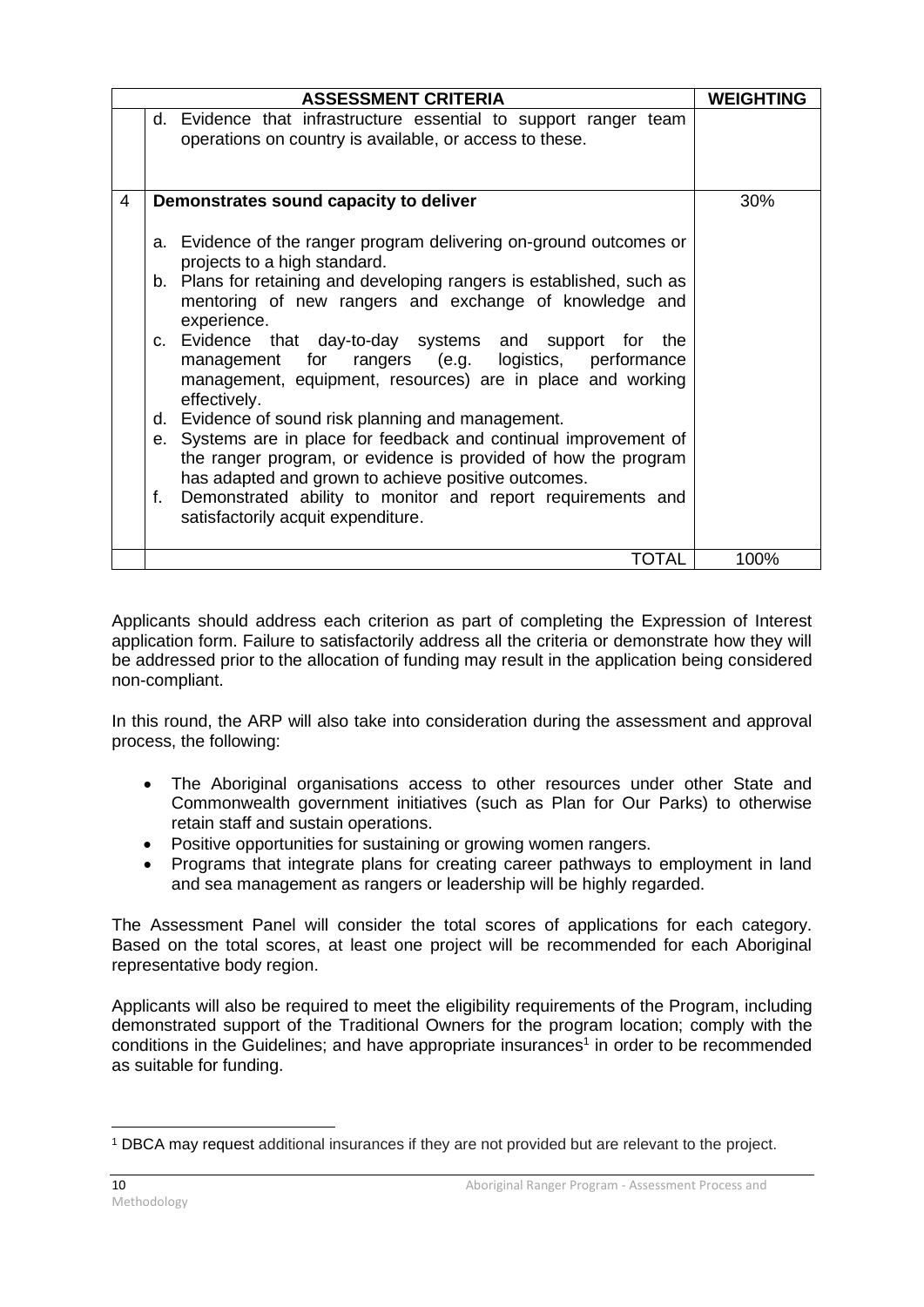|   | <b>ASSESSMENT CRITERIA</b>                                                                                                                                                                   | <b>WEIGHTING</b> |
|---|----------------------------------------------------------------------------------------------------------------------------------------------------------------------------------------------|------------------|
|   | d. Evidence that infrastructure essential to support ranger team<br>operations on country is available, or access to these.                                                                  |                  |
| 4 | Demonstrates sound capacity to deliver                                                                                                                                                       | 30%              |
|   | a. Evidence of the ranger program delivering on-ground outcomes or<br>projects to a high standard.                                                                                           |                  |
|   | b. Plans for retaining and developing rangers is established, such as<br>mentoring of new rangers and exchange of knowledge and<br>experience.                                               |                  |
|   | c. Evidence that day-to-day systems and support for the<br>management for rangers (e.g. logistics, performance<br>management, equipment, resources) are in place and working<br>effectively. |                  |
|   | d. Evidence of sound risk planning and management.                                                                                                                                           |                  |
|   | e. Systems are in place for feedback and continual improvement of<br>the ranger program, or evidence is provided of how the program<br>has adapted and grown to achieve positive outcomes.   |                  |
|   | Demonstrated ability to monitor and report requirements and<br>f.<br>satisfactorily acquit expenditure.                                                                                      |                  |
|   | <b>TOTAL</b>                                                                                                                                                                                 | 100%             |

Applicants should address each criterion as part of completing the Expression of Interest application form. Failure to satisfactorily address all the criteria or demonstrate how they will be addressed prior to the allocation of funding may result in the application being considered non-compliant.

In this round, the ARP will also take into consideration during the assessment and approval process, the following:

- The Aboriginal organisations access to other resources under other State and Commonwealth government initiatives (such as Plan for Our Parks) to otherwise retain staff and sustain operations.
- Positive opportunities for sustaining or growing women rangers.
- Programs that integrate plans for creating career pathways to employment in land and sea management as rangers or leadership will be highly regarded.

The Assessment Panel will consider the total scores of applications for each category. Based on the total scores, at least one project will be recommended for each Aboriginal representative body region.

Applicants will also be required to meet the eligibility requirements of the Program, including demonstrated support of the Traditional Owners for the program location; comply with the conditions in the Guidelines; and have appropriate insurances<sup>1</sup> in order to be recommended as suitable for funding.

<sup>1</sup> DBCA may request additional insurances if they are not provided but are relevant to the project.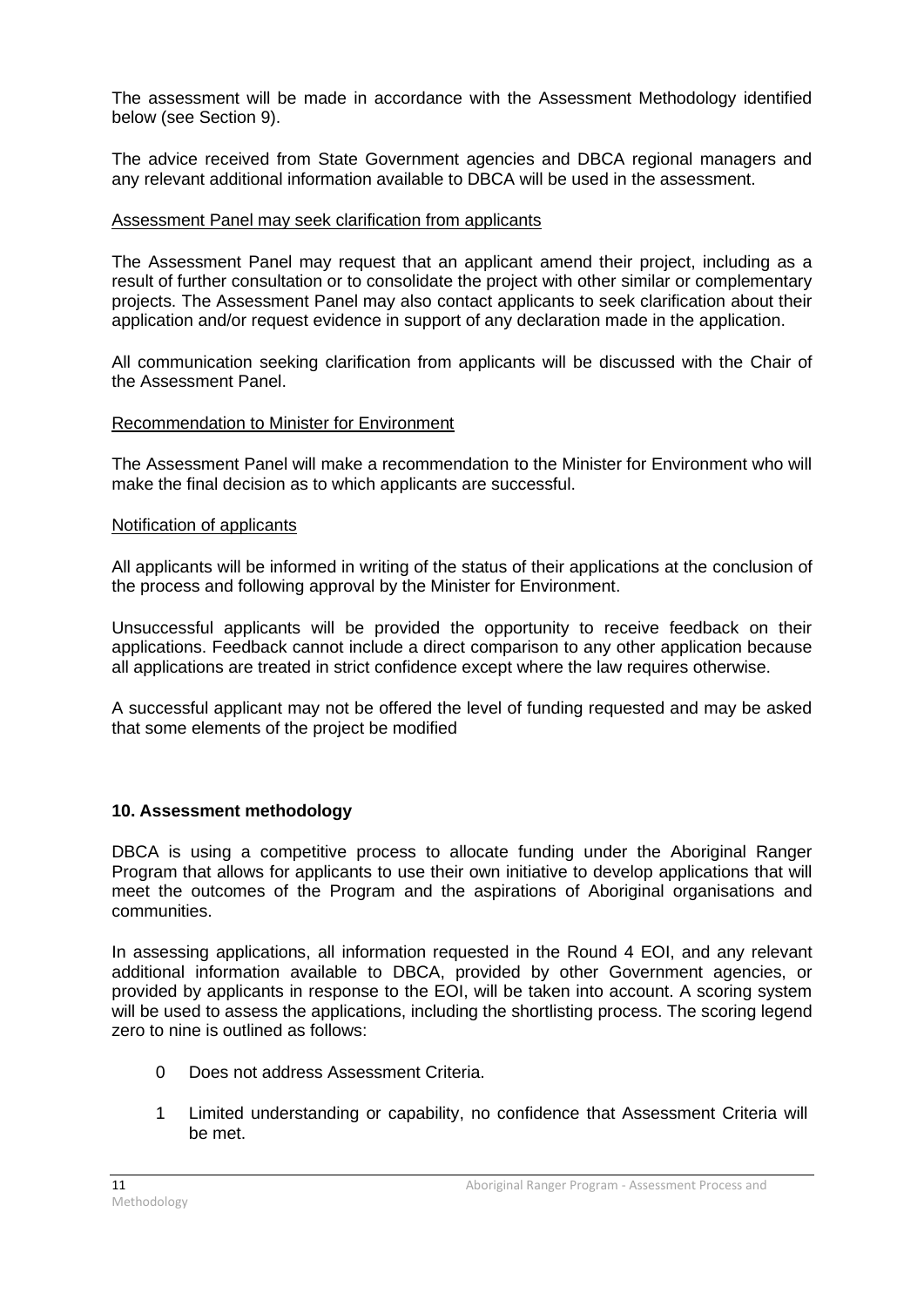The assessment will be made in accordance with the Assessment Methodology identified below (see Section 9).

The advice received from State Government agencies and DBCA regional managers and any relevant additional information available to DBCA will be used in the assessment.

#### Assessment Panel may seek clarification from applicants

The Assessment Panel may request that an applicant amend their project, including as a result of further consultation or to consolidate the project with other similar or complementary projects. The Assessment Panel may also contact applicants to seek clarification about their application and/or request evidence in support of any declaration made in the application.

All communication seeking clarification from applicants will be discussed with the Chair of the Assessment Panel.

#### Recommendation to Minister for Environment

The Assessment Panel will make a recommendation to the Minister for Environment who will make the final decision as to which applicants are successful.

#### Notification of applicants

All applicants will be informed in writing of the status of their applications at the conclusion of the process and following approval by the Minister for Environment.

Unsuccessful applicants will be provided the opportunity to receive feedback on their applications. Feedback cannot include a direct comparison to any other application because all applications are treated in strict confidence except where the law requires otherwise.

A successful applicant may not be offered the level of funding requested and may be asked that some elements of the project be modified

# **10. Assessment methodology**

DBCA is using a competitive process to allocate funding under the Aboriginal Ranger Program that allows for applicants to use their own initiative to develop applications that will meet the outcomes of the Program and the aspirations of Aboriginal organisations and communities.

In assessing applications, all information requested in the Round 4 EOI, and any relevant additional information available to DBCA, provided by other Government agencies, or provided by applicants in response to the EOI, will be taken into account. A scoring system will be used to assess the applications, including the shortlisting process. The scoring legend zero to nine is outlined as follows:

- 0 Does not address Assessment Criteria.
- 1 Limited understanding or capability, no confidence that Assessment Criteria will be met.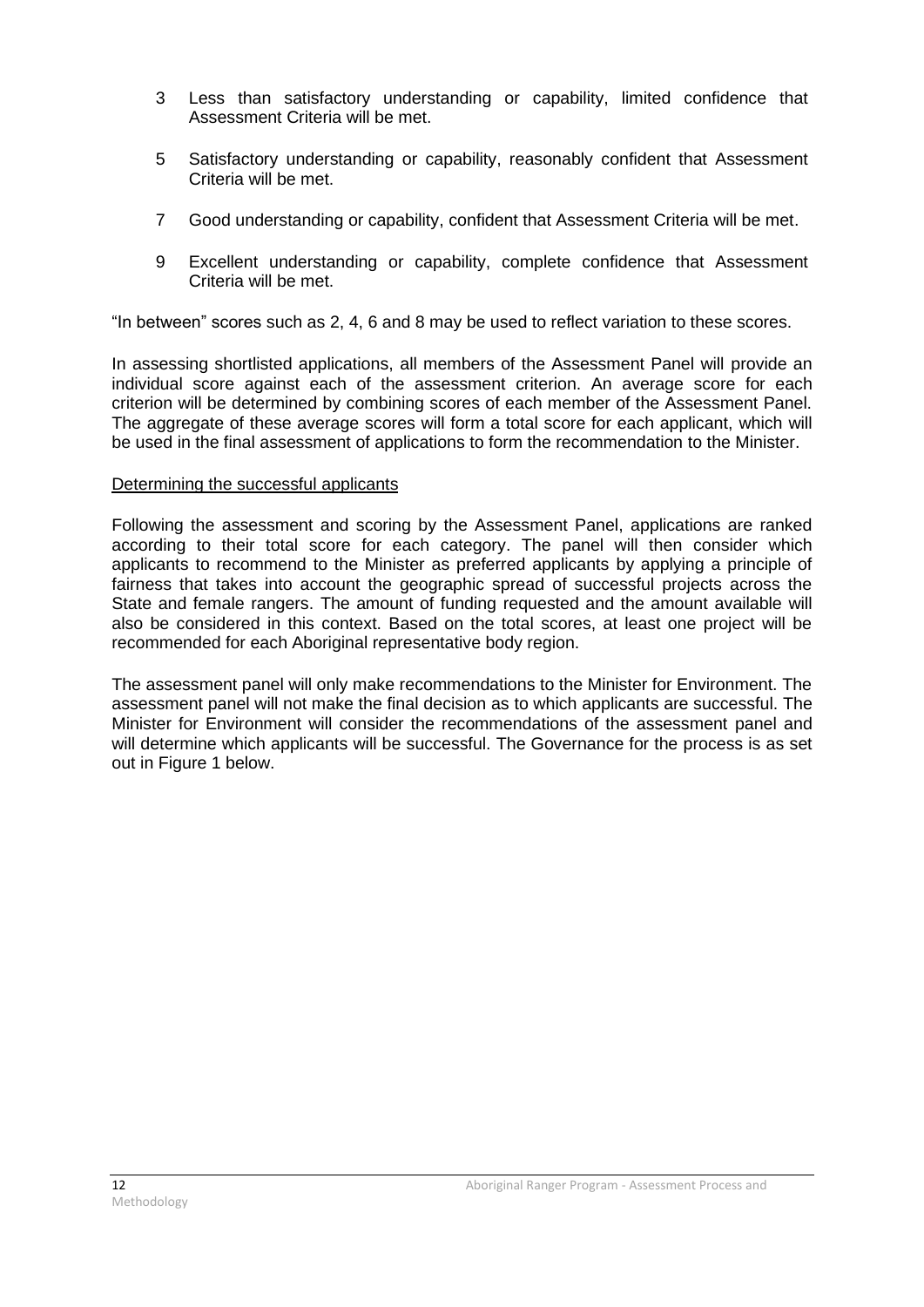- 3 Less than satisfactory understanding or capability, limited confidence that Assessment Criteria will be met.
- 5 Satisfactory understanding or capability, reasonably confident that Assessment Criteria will be met.
- 7 Good understanding or capability, confident that Assessment Criteria will be met.
- 9 Excellent understanding or capability, complete confidence that Assessment Criteria will be met.

"In between" scores such as 2, 4, 6 and 8 may be used to reflect variation to these scores.

In assessing shortlisted applications, all members of the Assessment Panel will provide an individual score against each of the assessment criterion. An average score for each criterion will be determined by combining scores of each member of the Assessment Panel. The aggregate of these average scores will form a total score for each applicant, which will be used in the final assessment of applications to form the recommendation to the Minister.

#### Determining the successful applicants

Following the assessment and scoring by the Assessment Panel, applications are ranked according to their total score for each category. The panel will then consider which applicants to recommend to the Minister as preferred applicants by applying a principle of fairness that takes into account the geographic spread of successful projects across the State and female rangers. The amount of funding requested and the amount available will also be considered in this context. Based on the total scores, at least one project will be recommended for each Aboriginal representative body region.

The assessment panel will only make recommendations to the Minister for Environment. The assessment panel will not make the final decision as to which applicants are successful. The Minister for Environment will consider the recommendations of the assessment panel and will determine which applicants will be successful. The Governance for the process is as set out in Figure 1 below.